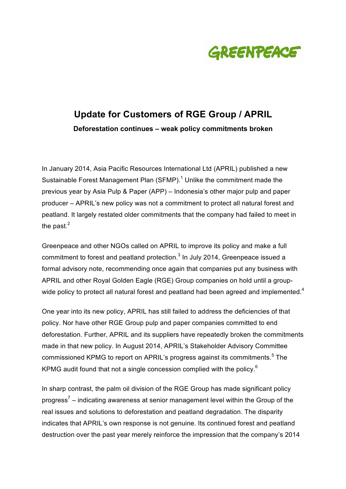

# **Update for Customers of RGE Group / APRIL Deforestation continues – weak policy commitments broken**

In January 2014, Asia Pacific Resources International Ltd (APRIL) published a new Sustainable Forest Management Plan (SFMP).<sup>1</sup> Unlike the commitment made the previous year by Asia Pulp & Paper (APP) – Indonesia's other major pulp and paper producer – APRIL's new policy was not a commitment to protect all natural forest and peatland. It largely restated older commitments that the company had failed to meet in the past. $<sup>2</sup>$ </sup>

Greenpeace and other NGOs called on APRIL to improve its policy and make a full commitment to forest and peatland protection. $3$  In July 2014, Greenpeace issued a formal advisory note, recommending once again that companies put any business with APRIL and other Royal Golden Eagle (RGE) Group companies on hold until a groupwide policy to protect all natural forest and peatland had been agreed and implemented.<sup>4</sup>

One year into its new policy, APRIL has still failed to address the deficiencies of that policy. Nor have other RGE Group pulp and paper companies committed to end deforestation. Further, APRIL and its suppliers have repeatedly broken the commitments made in that new policy. In August 2014, APRIL's Stakeholder Advisory Committee commissioned KPMG to report on APRIL's progress against its commitments.<sup>5</sup> The KPMG audit found that not a single concession complied with the policy.<sup>6</sup>

In sharp contrast, the palm oil division of the RGE Group has made significant policy progress<sup>7</sup> – indicating awareness at senior management level within the Group of the real issues and solutions to deforestation and peatland degradation. The disparity indicates that APRIL's own response is not genuine. Its continued forest and peatland destruction over the past year merely reinforce the impression that the company's 2014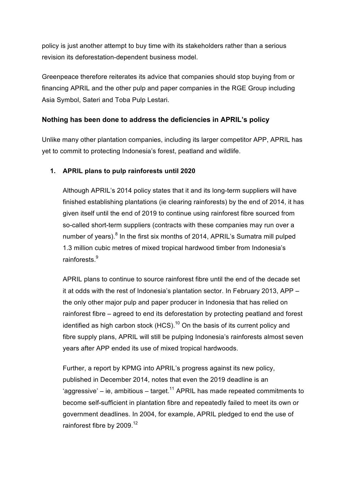policy is just another attempt to buy time with its stakeholders rather than a serious revision its deforestation-dependent business model.

Greenpeace therefore reiterates its advice that companies should stop buying from or financing APRIL and the other pulp and paper companies in the RGE Group including Asia Symbol, Sateri and Toba Pulp Lestari.

## **Nothing has been done to address the deficiencies in APRIL's policy**

Unlike many other plantation companies, including its larger competitor APP, APRIL has yet to commit to protecting Indonesia's forest, peatland and wildlife.

#### **1. APRIL plans to pulp rainforests until 2020**

Although APRIL's 2014 policy states that it and its long-term suppliers will have finished establishing plantations (ie clearing rainforests) by the end of 2014, it has given itself until the end of 2019 to continue using rainforest fibre sourced from so-called short-term suppliers (contracts with these companies may run over a number of years).<sup>8</sup> In the first six months of 2014, APRIL's Sumatra mill pulped 1.3 million cubic metres of mixed tropical hardwood timber from Indonesia's rainforests<sup>9</sup>

APRIL plans to continue to source rainforest fibre until the end of the decade set it at odds with the rest of Indonesia's plantation sector. In February 2013, APP – the only other major pulp and paper producer in Indonesia that has relied on rainforest fibre – agreed to end its deforestation by protecting peatland and forest identified as high carbon stock  $(HCS)$ .<sup>10</sup> On the basis of its current policy and fibre supply plans, APRIL will still be pulping Indonesia's rainforests almost seven years after APP ended its use of mixed tropical hardwoods.

Further, a report by KPMG into APRIL's progress against its new policy, published in December 2014, notes that even the 2019 deadline is an 'aggressive' – ie, ambitious – target.<sup>11</sup> APRIL has made repeated commitments to become self-sufficient in plantation fibre and repeatedly failed to meet its own or government deadlines. In 2004, for example, APRIL pledged to end the use of rainforest fibre by 2009.<sup>12</sup>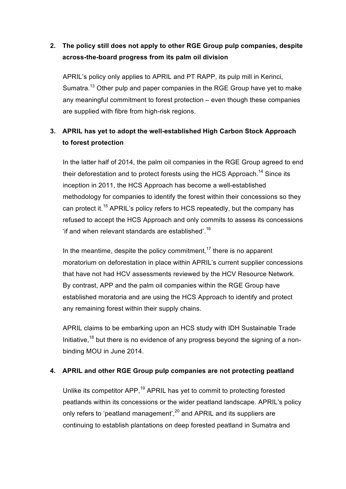## **2. The policy still does not apply to other RGE Group pulp companies, despite across-the-board progress from its palm oil division**

APRIL's policy only applies to APRIL and PT RAPP, its pulp mill in Kerinci, Sumatra.<sup>13</sup> Other pulp and paper companies in the RGE Group have yet to make any meaningful commitment to forest protection – even though these companies are supplied with fibre from high-risk regions.

# **3. APRIL has yet to adopt the well-established High Carbon Stock Approach to forest protection**

In the latter half of 2014, the palm oil companies in the RGE Group agreed to end their deforestation and to protect forests using the HCS Approach.<sup>14</sup> Since its inception in 2011, the HCS Approach has become a well-established methodology for companies to identify the forest within their concessions so they can protect it.<sup>15</sup> APRIL's policy refers to HCS repeatedly, but the company has refused to accept the HCS Approach and only commits to assess its concessions 'if and when relevant standards are established'. 16

In the meantime, despite the policy commitment,  $17$  there is no apparent moratorium on deforestation in place within APRIL's current supplier concessions that have not had HCV assessments reviewed by the HCV Resource Network. By contrast, APP and the palm oil companies within the RGE Group have established moratoria and are using the HCS Approach to identify and protect any remaining forest within their supply chains.

APRIL claims to be embarking upon an HCS study with IDH Sustainable Trade Initiative,<sup>18</sup> but there is no evidence of any progress beyond the signing of a nonbinding MOU in June 2014.

#### **4. APRIL and other RGE Group pulp companies are not protecting peatland**

Unlike its competitor APP,<sup>19</sup> APRIL has yet to commit to protecting forested peatlands within its concessions or the wider peatland landscape. APRIL's policy only refers to 'peatland management',<sup>20</sup> and APRIL and its suppliers are continuing to establish plantations on deep forested peatland in Sumatra and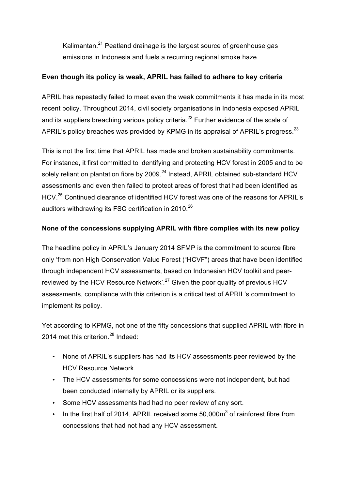Kalimantan.<sup>21</sup> Peatland drainage is the largest source of greenhouse gas emissions in Indonesia and fuels a recurring regional smoke haze.

#### **Even though its policy is weak, APRIL has failed to adhere to key criteria**

APRIL has repeatedly failed to meet even the weak commitments it has made in its most recent policy. Throughout 2014, civil society organisations in Indonesia exposed APRIL and its suppliers breaching various policy criteria.<sup>22</sup> Further evidence of the scale of APRIL's policy breaches was provided by KPMG in its appraisal of APRIL's progress.  $^{23}$ 

This is not the first time that APRIL has made and broken sustainability commitments. For instance, it first committed to identifying and protecting HCV forest in 2005 and to be solely reliant on plantation fibre by 2009.<sup>24</sup> Instead, APRIL obtained sub-standard HCV assessments and even then failed to protect areas of forest that had been identified as HCV.25 Continued clearance of identified HCV forest was one of the reasons for APRIL's auditors withdrawing its FSC certification in 2010.<sup>26</sup>

#### **None of the concessions supplying APRIL with fibre complies with its new policy**

The headline policy in APRIL's January 2014 SFMP is the commitment to source fibre only 'from non High Conservation Value Forest ("HCVF") areas that have been identified through independent HCV assessments, based on Indonesian HCV toolkit and peerreviewed by the HCV Resource Network<sup>' 27</sup> Given the poor quality of previous HCV assessments, compliance with this criterion is a critical test of APRIL's commitment to implement its policy.

Yet according to KPMG, not one of the fifty concessions that supplied APRIL with fibre in 2014 met this criterion.<sup>28</sup> Indeed:

- None of APRIL's suppliers has had its HCV assessments peer reviewed by the HCV Resource Network.
- The HCV assessments for some concessions were not independent, but had been conducted internally by APRIL or its suppliers.
- Some HCV assessments had had no peer review of any sort.
- In the first half of 2014, APRIL received some  $50,000m^3$  of rainforest fibre from concessions that had not had any HCV assessment.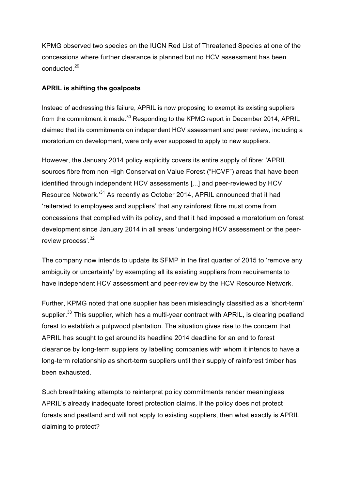KPMG observed two species on the IUCN Red List of Threatened Species at one of the concessions where further clearance is planned but no HCV assessment has been conducted.29

#### **APRIL is shifting the goalposts**

Instead of addressing this failure, APRIL is now proposing to exempt its existing suppliers from the commitment it made.<sup>30</sup> Responding to the KPMG report in December 2014, APRIL claimed that its commitments on independent HCV assessment and peer review, including a moratorium on development, were only ever supposed to apply to new suppliers.

However, the January 2014 policy explicitly covers its entire supply of fibre: 'APRIL sources fibre from non High Conservation Value Forest ("HCVF") areas that have been identified through independent HCV assessments [...] and peer-reviewed by HCV Resource Network.'<sup>31</sup> As recently as October 2014, APRIL announced that it had 'reiterated to employees and suppliers' that any rainforest fibre must come from concessions that complied with its policy, and that it had imposed a moratorium on forest development since January 2014 in all areas 'undergoing HCV assessment or the peerreview process'.<sup>32</sup>

The company now intends to update its SFMP in the first quarter of 2015 to 'remove any ambiguity or uncertainty' by exempting all its existing suppliers from requirements to have independent HCV assessment and peer-review by the HCV Resource Network.

Further, KPMG noted that one supplier has been misleadingly classified as a 'short-term' supplier.<sup>33</sup> This supplier, which has a multi-year contract with APRIL, is clearing peatland forest to establish a pulpwood plantation. The situation gives rise to the concern that APRIL has sought to get around its headline 2014 deadline for an end to forest clearance by long-term suppliers by labelling companies with whom it intends to have a long-term relationship as short-term suppliers until their supply of rainforest timber has been exhausted.

Such breathtaking attempts to reinterpret policy commitments render meaningless APRIL's already inadequate forest protection claims. If the policy does not protect forests and peatland and will not apply to existing suppliers, then what exactly is APRIL claiming to protect?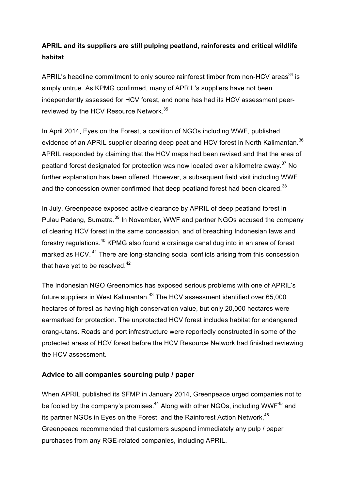## **APRIL and its suppliers are still pulping peatland, rainforests and critical wildlife habitat**

APRIL's headline commitment to only source rainforest timber from non-HCV areas<sup>34</sup> is simply untrue. As KPMG confirmed, many of APRIL's suppliers have not been independently assessed for HCV forest, and none has had its HCV assessment peerreviewed by the HCV Resource Network.<sup>35</sup>

In April 2014, Eyes on the Forest, a coalition of NGOs including WWF, published evidence of an APRIL supplier clearing deep peat and HCV forest in North Kalimantan.<sup>36</sup> APRIL responded by claiming that the HCV maps had been revised and that the area of peatland forest designated for protection was now located over a kilometre away.<sup>37</sup> No further explanation has been offered. However, a subsequent field visit including WWF and the concession owner confirmed that deep peatland forest had been cleared.<sup>38</sup>

In July, Greenpeace exposed active clearance by APRIL of deep peatland forest in Pulau Padang, Sumatra.<sup>39</sup> In November, WWF and partner NGOs accused the company of clearing HCV forest in the same concession, and of breaching Indonesian laws and forestry regulations.<sup>40</sup> KPMG also found a drainage canal dug into in an area of forest marked as HCV.<sup>41</sup> There are long-standing social conflicts arising from this concession that have yet to be resolved. $42$ 

The Indonesian NGO Greenomics has exposed serious problems with one of APRIL's future suppliers in West Kalimantan.<sup>43</sup> The HCV assessment identified over 65,000 hectares of forest as having high conservation value, but only 20,000 hectares were earmarked for protection. The unprotected HCV forest includes habitat for endangered orang-utans. Roads and port infrastructure were reportedly constructed in some of the protected areas of HCV forest before the HCV Resource Network had finished reviewing the HCV assessment.

## **Advice to all companies sourcing pulp / paper**

When APRIL published its SFMP in January 2014, Greenpeace urged companies not to be fooled by the company's promises.<sup>44</sup> Along with other NGOs, including WWF<sup>45</sup> and its partner NGOs in Eyes on the Forest, and the Rainforest Action Network,<sup>46</sup> Greenpeace recommended that customers suspend immediately any pulp / paper purchases from any RGE-related companies, including APRIL.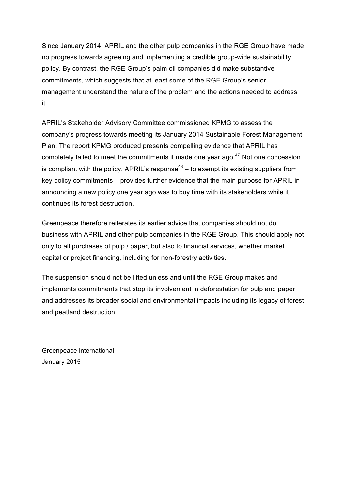Since January 2014, APRIL and the other pulp companies in the RGE Group have made no progress towards agreeing and implementing a credible group-wide sustainability policy. By contrast, the RGE Group's palm oil companies did make substantive commitments, which suggests that at least some of the RGE Group's senior management understand the nature of the problem and the actions needed to address it.

APRIL's Stakeholder Advisory Committee commissioned KPMG to assess the company's progress towards meeting its January 2014 Sustainable Forest Management Plan. The report KPMG produced presents compelling evidence that APRIL has completely failed to meet the commitments it made one year ago.<sup>47</sup> Not one concession is compliant with the policy. APRIL's response<sup>48</sup> – to exempt its existing suppliers from key policy commitments – provides further evidence that the main purpose for APRIL in announcing a new policy one year ago was to buy time with its stakeholders while it continues its forest destruction.

Greenpeace therefore reiterates its earlier advice that companies should not do business with APRIL and other pulp companies in the RGE Group. This should apply not only to all purchases of pulp / paper, but also to financial services, whether market capital or project financing, including for non-forestry activities.

The suspension should not be lifted unless and until the RGE Group makes and implements commitments that stop its involvement in deforestation for pulp and paper and addresses its broader social and environmental impacts including its legacy of forest and peatland destruction.

Greenpeace International January 2015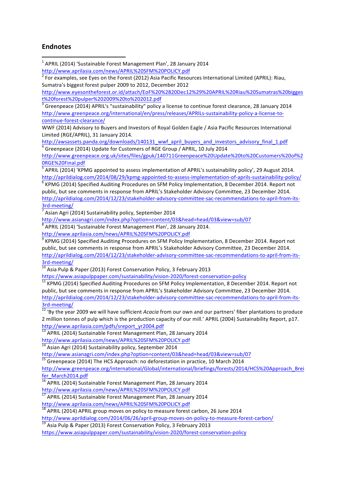#### **Endnotes**

<u> 1989 - Johann Stein, fransk politiker (d. 1989)</u>

 $1$  APRIL (2014) 'Sustainable Forest Management Plan', 28 January 2014

http://www.aprilasia.com/news/APRIL%20SFM%20POLICY.pdf

 $2^2$  For examples, see Eyes on the Forest (2012) Asia Pacific Resources International Limited (APRIL): Riau, Sumatra's biggest forest pulper 2009 to 2012, December 2012

http://www.eyesontheforest.or.id/attach/EoF%20%2820Dec12%29%20APRIL%20Riau%20Sumatras%20bigges t%20forest%20pulper%202009%20to%202012.pdf

 $\frac{1}{3}$  Greenpeace (2014) APRIL's "sustainability" policy a license to continue forest clearance, 28 January 2014 http://www.greenpeace.org/international/en/press/releases/APRILs-sustainability-policy-a-license-tocontinue-forest-clearance/

WWF (2014) Advisory to Buyers and Investors of Royal Golden Eagle / Asia Pacific Resources International Limited (RGE/APRIL), 31 January 2014.

http://awsassets.panda.org/downloads/140131\_wwf\_april\_buyers\_and\_investors\_advisory\_final\_1.pdf Greenpeace (2014) Update for Customers of RGE Group / APRIL, 10 July 2014

http://www.greenpeace.org.uk/sites/files/gpuk/140711Greenpeace%20Update%20to%20Customers%20of%2 0RGE%20Final.pdf

 $\overline{5}$  APRIL (2014) 'KPMG appointed to assess implementation of APRIL's sustainability policy', 29 August 2014. http://aprildialog.com/2014/08/29/kpmg-appointed-to-assess-implementation-of-aprils-sustainability-policy/<br>
<sup>6</sup> KPMG (2014) Specified Auditing Procedures on SFM Policy Implementation, 8 December 2014. Report not

public, but see comments in response from APRIL's Stakeholder Advisory Committee, 23 December 2014. http://aprildialog.com/2014/12/23/stakeholder-advisory-committee-sac-recommendations-to-april-from-its-

 $\frac{3rd\text{-}meeting/}{4}$  Sustainability policy, September 2014

http://www.asianagri.com/index.php?option=content/03&head=head/03&view=sub/07

 $8$  APRIL (2014) 'Sustainable Forest Management Plan', 28 January 2014.

http://www.aprilasia.com/news/APRIL%20SFM%20POLICY.pdf

KPMG (2014) Specified Auditing Procedures on SFM Policy Implementation, 8 December 2014. Report not public, but see comments in response from APRIL's Stakeholder Advisory Committee, 23 December 2014. http://aprildialog.com/2014/12/23/stakeholder-advisory-committee-sac-recommendations-to-april-from-its-

 $\frac{3rd\text{-meeting}}{10}$  Asia Pulp & Paper (2013) Forest Conservation Policy, 3 February 2013

https://www.asiapulppaper.com/sustainability/vision-2020/forest-conservation-policy<br><sup>11</sup> KPMG (2014) Specified Auditing Procedures on SFM Policy Implementation, 8 December 2014. Report not public, but see comments in response from APRIL's Stakeholder Advisory Committee, 23 December 2014. http://aprildialog.com/2014/12/23/stakeholder-advisory-committee-sac-recommendations-to-april-from-its-

3rd-meeting/<br><sup>12</sup> 'By the year 2009 we will have sufficient *Acacia* from our own and our partners' fiber plantations to produce 2 million tonnes of pulp which is the production capacity of our mill.' APRIL (2004) Sustainability Report, p17. http://www.aprilasia.com/pdfs/sreport\_yr2004.pdf

13 APRIL (2014) Sustainable Forest Management Plan, 28 January 2014

http://www.aprilasia.com/news/APRIL%20SFM%20POLICY.pdf

<sup>14</sup> Asian Agri (2014) Sustainability policy, September 2014<br>http://www.asianagri.com/index.php?option=content/03&head=head/03&view=sub/07

 $\frac{15}{15}$  Greenpeace (2014) The HCS Approach: no deforestation in practice, 10 March 2014

http://www.greenpeace.org/international/Global/international/briefings/forests/2014/HCS%20Approach\_Brei fer\_March2014.pdf

 $\frac{16}{16}$  APRIL (2014) Sustainable Forest Management Plan, 28 January 2014 http://www.aprilasia.com/news/APRIL%20SFM%20POLICY.pdf

APRIL (2014) Sustainable Forest Management Plan, 28 January 2014

http://www.aprilasia.com/news/APRIL%20SFM%20POLICY.pdf<br><sup>18</sup> APRIL (2014) APRIL group moves on policy to measure forest carbon, 26 June 2014

http://www.aprildialog.com/2014/06/26/april-group-moves-on-policy-to-measure-forest-carbon/<br> $^{19}$  Asia Pulp & Paper (2013) Forest Conservation Policy, 3 February 2013

https://www.asiapulppaper.com/sustainability/vision-2020/forest-conservation-policy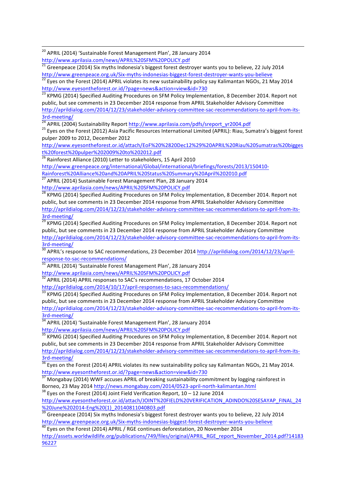<sup>20</sup> APRIL (2014) 'Sustainable Forest Management Plan', 28 January 2014

http://www.aprilasia.com/news/APRIL%20SFM%20POLICY.pdf<br> $^{21}$  Greenpeace (2014) Six myths Indonesia's biggest forest destroyer wants you to believe, 22 July 2014 http://www.greenpeace.org.uk/Six-myths-indonesias-biggest-forest-destroyer-wants-you-believe  $22$  Eyes on the Forest (2014) APRIL violates its new sustainability policy say Kalimantan NGOs, 21 May 2014

http://www.eyesontheforest.or.id/?page=news&action=view&id=730

<u> 1989 - Johann Barnett, fransk politik (f. 1989)</u>

 $^{23}$  KPMG (2014) Specified Auditing Procedures on SFM Policy Implementation, 8 December 2014. Report not public, but see comments in 23 December 2014 response from APRIL Stakeholder Advisory Committee http://aprildialog.com/2014/12/23/stakeholder-advisory-committee-sac-recommendations-to-april-from-its- $\frac{3rd-meeting}{24}$  APRIL (2004) Sustainability Report http://www.aprilasia.com/pdfs/sreport\_yr2004.pdf<br><sup>24</sup> APRIL (2004) Sustainability Report http://www.aprilasia.com/pdfs/sreport\_yr2004.pdf<br><sup>25</sup> Eyes on the Forest (2012) As

pulper 2009 to 2012, December 2012

http://www.eyesontheforest.or.id/attach/EoF%20%2820Dec12%29%20APRIL%20Riau%20Sumatras%20bigges t%20forest%20pulper%202009%20to%202012.pdf

 $^{26}$  Rainforest Alliance (2010) Letter to stakeholders, 15 April 2010

http://www.greenpeace.org/international/Global/international/briefings/forests/2013/150410- Rainforest%20Alliance%20and%20APRIL%20Status%20Summary%20April%202010.pdf

 $\frac{27}{27}$  APRIL (2014) Sustainable Forest Management Plan, 28 January 2014<br>http://www.aprilasia.com/news/APRIL%20SFM%20POLICY.pdf

 $\frac{1}{28}$  KPMG (2014) Specified Auditing Procedures on SFM Policy Implementation, 8 December 2014. Report not public, but see comments in 23 December 2014 response from APRIL Stakeholder Advisory Committee http://aprildialog.com/2014/12/23/stakeholder-advisory-committee-sac-recommendations-to-april-from-its-

 $\frac{3rd\text{-meeting}}{29}$  KPMG (2014) Specified Auditing Procedures on SFM Policy Implementation, 8 December 2014. Report not public, but see comments in 23 December 2014 response from APRIL Stakeholder Advisory Committee http://aprildialog.com/2014/12/23/stakeholder-advisory-committee-sac-recommendations-to-april-from-its-

3rd-meeting/<br><sup>30</sup> APRIL's response to SAC recommendations, 23 December 2014 http://aprildialog.com/2014/12/23/aprilresponse-to-sac-recommendations/<br>
<sup>31</sup> APRIL (2014) 'Sustainable Forest Management Plan', 28 January 2014

http://www.aprilasia.com/news/APRIL%20SFM%20POLICY.pdf

 $\frac{32}{32}$  APRIL (2014) APRIL responses to SAC's recommendations, 17 October 2014 http://aprildialog.com/2014/10/17/april-responses-to-sacs-recommendations/<br><sup>33</sup> KPMG (2014) Specified Auditing Procedures on SFM Policy Implementation, 8 December 2014. Report not

public, but see comments in 23 December 2014 response from APRIL Stakeholder Advisory Committee http://aprildialog.com/2014/12/23/stakeholder-advisory-committee-sac-recommendations-to-april-from-its-

 $\frac{3rd\text{-meeting}}{34}$  APRIL (2014) 'Sustainable Forest Management Plan', 28 January 2014 http://www.aprilasia.com/news/APRIL%20SFM%20POLICY.pdf

KPMG (2014) Specified Auditing Procedures on SFM Policy Implementation, 8 December 2014. Report not public, but see comments in 23 December 2014 response from APRIL Stakeholder Advisory Committee http://aprildialog.com/2014/12/23/stakeholder-advisory-committee-sac-recommendations-to-april-from-its-

 $\frac{3rd\text{-meeting}}{36}$  Eyes on the Forest (2014) APRIL violates its new sustainability policy say Kalimantan NGOs, 21 May 2014. http://www.eyesontheforest.or.id/?page=news&action=view&id=730

 $\frac{37}{100}$  Mongabay (2014) WWF accuses APRIL of breaking sustainability commitment by logging rainforest in Borneo, 23 May 2014 http://news.mongabay.com/2014/0523-april-north-kalimantan.html  $^{38}$  Eyes on the Forest (2014) Joint Field Verification Report,  $10 - 12$  June 2014

http://www.eyesontheforest.or.id/attach/JOINT%20FIELD%20VERIFICATION\_ADINDO%20SESAYAP\_FINAL\_24<br>%20June%202014-Eng%20(1) 20140811040803.pdf

Mathers 2020 11 - Eng. 2014 - Eng. 2014 - Engines 2014 - Engines 2014 Constrainers 2014 Supplemental Constrainers Construction 39 Greenpeace (2014) Six myths Indonesia's biggest forest destroyer wants you to believe, 22 Ju http://www.greenpeace.org.uk/Six-myths-indonesias-biggest-forest-destroyer-wants-you-believe <sup>40</sup> Eyes on the Forest (2014) APRIL / RGE continues deforestation, 20 November 2014

http://assets.worldwildlife.org/publications/749/files/original/APRIL\_RGE\_report\_November\_2014.pdf?14183

96227